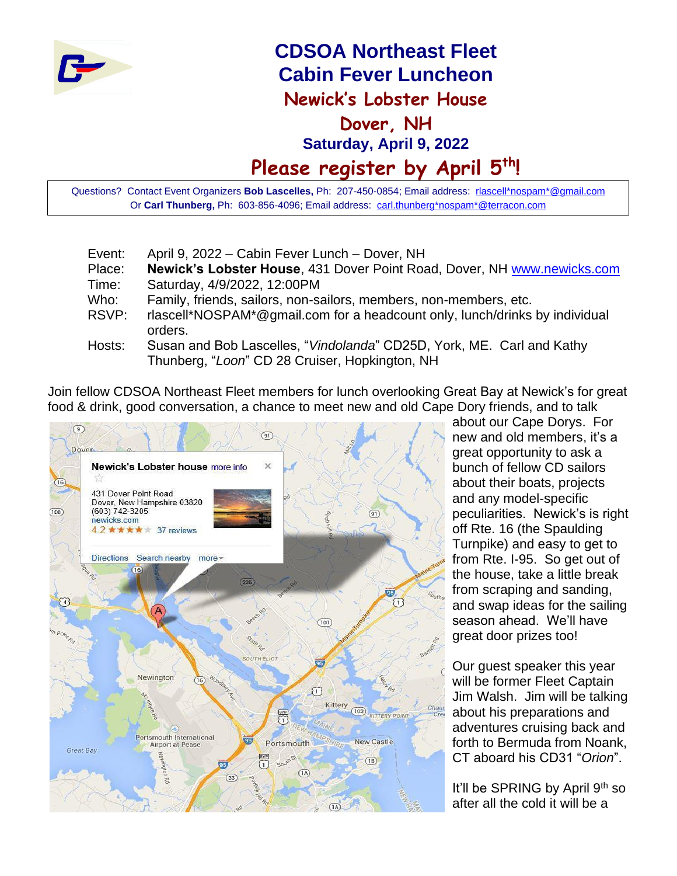

# **CDSOA Northeast Fleet Cabin Fever Luncheon Newick's Lobster House Dover, NH Saturday, April 9, 2022 Please register by April 5 th!**

Questions? Contact Event Organizers **Bob Lascelles,** Ph: 207-450-0854; Email address: [rlascell\\*nospam\\*@gmail.com](mailto:rlascell*nospam*@gmail.com) Or **Carl Thunberg,** Ph: 603-856-4096; Email address: [carl.thunberg\\*nospam\\*@terracon.com](mailto:carl.thunberg*nospam*@terracon.com)

| Event: | April 9, 2022 – Cabin Fever Lunch – Dover, NH                                                                           |
|--------|-------------------------------------------------------------------------------------------------------------------------|
| Place: | Newick's Lobster House, 431 Dover Point Road, Dover, NH www.newicks.com                                                 |
| Time:  | Saturday, 4/9/2022, 12:00PM                                                                                             |
| Who:   | Family, friends, sailors, non-sailors, members, non-members, etc.                                                       |
| RSVP:  | rlascell*NOSPAM*@gmail.com for a headcount only, lunch/drinks by individual<br>orders.                                  |
| Hosts: | Susan and Bob Lascelles, "Vindolanda" CD25D, York, ME. Carl and Kathy<br>Thunberg, "Loon" CD 28 Cruiser, Hopkington, NH |

Join fellow CDSOA Northeast Fleet members for lunch overlooking Great Bay at Newick's for great food & drink, good conversation, a chance to meet new and old Cape Dory friends, and to talk



about our Cape Dorys. For new and old members, it's a great opportunity to ask a bunch of fellow CD sailors about their boats, projects and any model-specific peculiarities. Newick's is right off Rte. 16 (the Spaulding Turnpike) and easy to get to from Rte. I-95. So get out of the house, take a little break from scraping and sanding, and swap ideas for the sailing season ahead. We'll have great door prizes too!

Our guest speaker this year will be former Fleet Captain Jim Walsh. Jim will be talking about his preparations and adventures cruising back and forth to Bermuda from Noank, CT aboard his CD31 "*Orion*".

It'll be SPRING by April 9<sup>th</sup> so after all the cold it will be a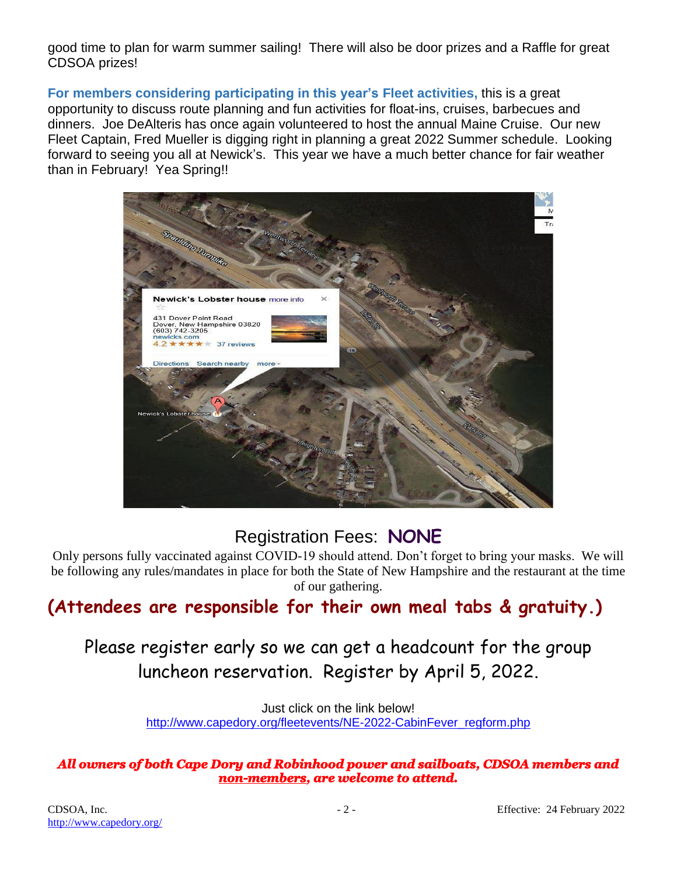good time to plan for warm summer sailing! There will also be door prizes and a Raffle for great CDSOA prizes!

**For members considering participating in this year's Fleet activities,** this is a great opportunity to discuss route planning and fun activities for float-ins, cruises, barbecues and dinners. Joe DeAlteris has once again volunteered to host the annual Maine Cruise. Our new Fleet Captain, Fred Mueller is digging right in planning a great 2022 Summer schedule. Looking forward to seeing you all at Newick's. This year we have a much better chance for fair weather than in February! Yea Spring!!



### Registration Fees: **NONE**

Only persons fully vaccinated against COVID-19 should attend. Don't forget to bring your masks. We will be following any rules/mandates in place for both the State of New Hampshire and the restaurant at the time of our gathering.

## **(Attendees are responsible for their own meal tabs & gratuity.)**

## Please register early so we can get a headcount for the group luncheon reservation. Register by April 5, 2022.

Just click on the link below! [http://www.capedory.org/fleetevents/NE-2022-CabinFever\\_regform.php](http://www.capedory.org/fleetevents/NE-2022-CabinFever_regform.php)

### *All owners of both Cape Dory and Robinhood power and sailboats, CDSOA members and non-members, are welcome to attend.*

<http://www.capedory.org/>

CDSOA, Inc. 22 - Effective: 24 February 2022